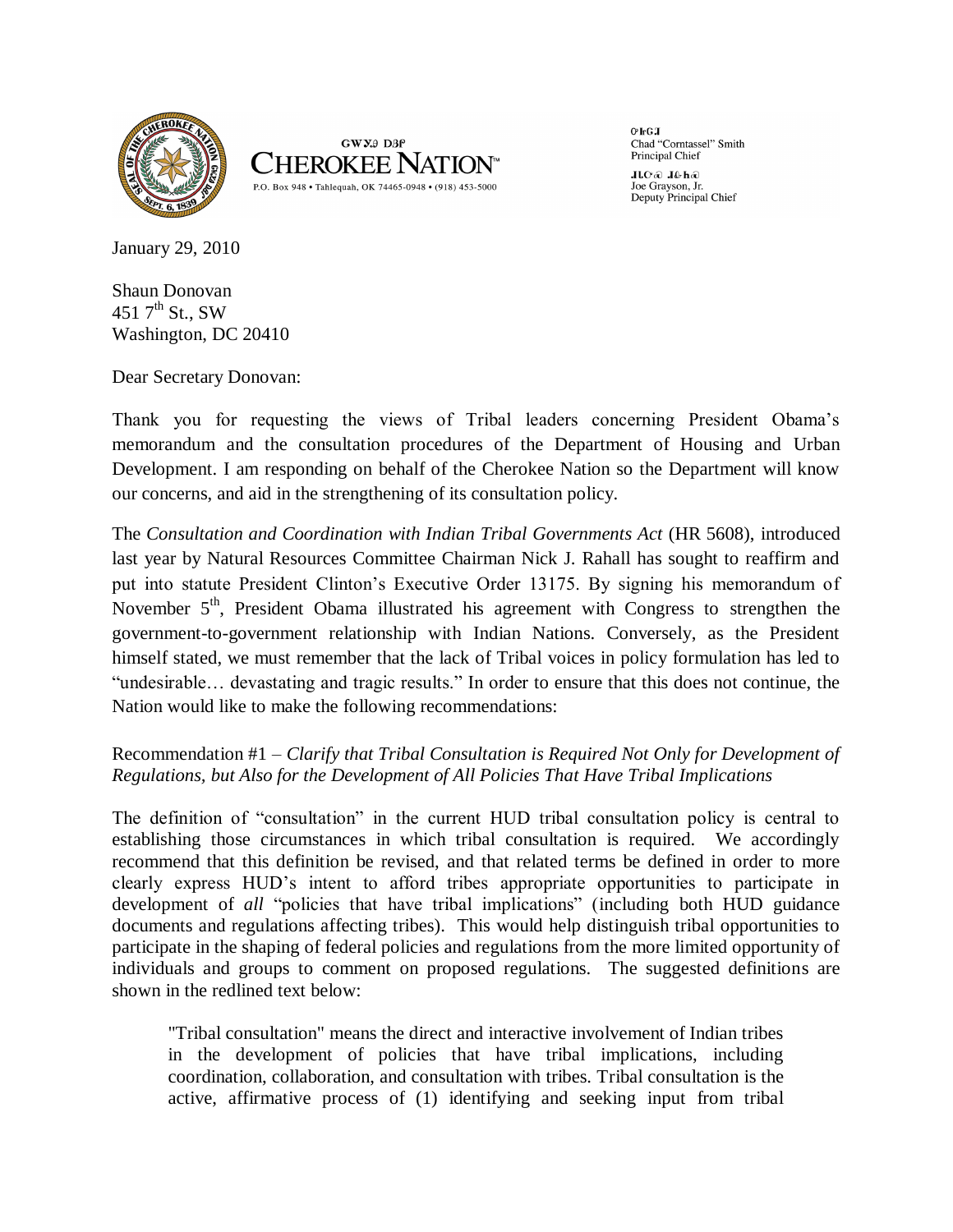



 $O<sub>F</sub>GJ$ Chad "Corntassel" Smith Principal Chief

Gad John Goll Joe Gravson, Jr. Deputy Principal Chief

January 29, 2010

Shaun Donovan 451  $7^{\text{th}}$  St., SW Washington, DC 20410

Dear Secretary Donovan:

Thank you for requesting the views of Tribal leaders concerning President Obama's memorandum and the consultation procedures of the Department of Housing and Urban Development. I am responding on behalf of the Cherokee Nation so the Department will know our concerns, and aid in the strengthening of its consultation policy.

The *Consultation and Coordination with Indian Tribal Governments Act* (HR 5608), introduced last year by Natural Resources Committee Chairman Nick J. Rahall has sought to reaffirm and put into statute President Clinton's Executive Order 13175. By signing his memorandum of November  $5<sup>th</sup>$ , President Obama illustrated his agreement with Congress to strengthen the government-to-government relationship with Indian Nations. Conversely, as the President himself stated, we must remember that the lack of Tribal voices in policy formulation has led to "undesirable… devastating and tragic results." In order to ensure that this does not continue, the Nation would like to make the following recommendations:

## Recommendation #1 – *Clarify that Tribal Consultation is Required Not Only for Development of Regulations, but Also for the Development of All Policies That Have Tribal Implications*

The definition of "consultation" in the current HUD tribal consultation policy is central to establishing those circumstances in which tribal consultation is required. We accordingly recommend that this definition be revised, and that related terms be defined in order to more clearly express HUD's intent to afford tribes appropriate opportunities to participate in development of *all* "policies that have tribal implications" (including both HUD guidance documents and regulations affecting tribes). This would help distinguish tribal opportunities to participate in the shaping of federal policies and regulations from the more limited opportunity of individuals and groups to comment on proposed regulations. The suggested definitions are shown in the redlined text below:

"Tribal consultation" means the direct and interactive involvement of Indian tribes in the development of policies that have tribal implications, including coordination, collaboration, and consultation with tribes. Tribal consultation is the active, affirmative process of (1) identifying and seeking input from tribal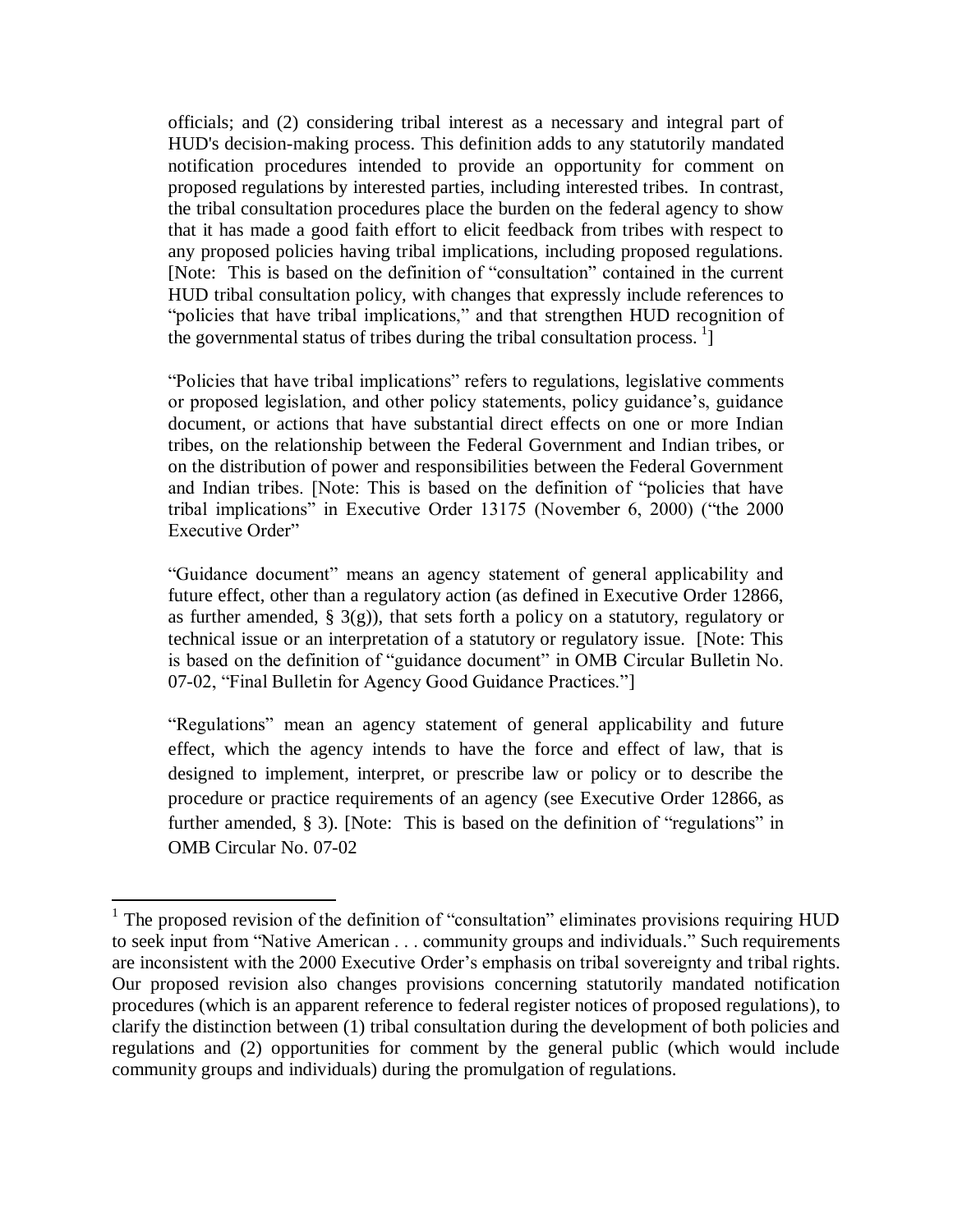officials; and (2) considering tribal interest as a necessary and integral part of HUD's decision-making process. This definition adds to any statutorily mandated notification procedures intended to provide an opportunity for comment on proposed regulations by interested parties, including interested tribes. In contrast, the tribal consultation procedures place the burden on the federal agency to show that it has made a good faith effort to elicit feedback from tribes with respect to any proposed policies having tribal implications, including proposed regulations. [Note: This is based on the definition of "consultation" contained in the current HUD tribal consultation policy, with changes that expressly include references to "policies that have tribal implications," and that strengthen HUD recognition of the governmental status of tribes during the tribal consultation process.  $\frac{1}{1}$ 

"Policies that have tribal implications" refers to regulations, legislative comments or proposed legislation, and other policy statements, policy guidance's, guidance document, or actions that have substantial direct effects on one or more Indian tribes, on the relationship between the Federal Government and Indian tribes, or on the distribution of power and responsibilities between the Federal Government and Indian tribes. [Note: This is based on the definition of "policies that have tribal implications" in Executive Order 13175 (November 6, 2000) ("the 2000 Executive Order"

"Guidance document" means an agency statement of general applicability and future effect, other than a regulatory action (as defined in Executive Order 12866, as further amended,  $\S$  3(g)), that sets forth a policy on a statutory, regulatory or technical issue or an interpretation of a statutory or regulatory issue. [Note: This is based on the definition of "guidance document" in OMB Circular Bulletin No. 07-02, "Final Bulletin for Agency Good Guidance Practices."]

"Regulations" mean an agency statement of general applicability and future effect, which the agency intends to have the force and effect of law, that is designed to implement, interpret, or prescribe law or policy or to describe the procedure or practice requirements of an agency (see Executive Order 12866, as further amended, § 3). [Note: This is based on the definition of "regulations" in OMB Circular No. 07-02

 $\overline{a}$ 

<sup>&</sup>lt;sup>1</sup> The proposed revision of the definition of "consultation" eliminates provisions requiring HUD to seek input from "Native American . . . community groups and individuals." Such requirements are inconsistent with the 2000 Executive Order's emphasis on tribal sovereignty and tribal rights. Our proposed revision also changes provisions concerning statutorily mandated notification procedures (which is an apparent reference to federal register notices of proposed regulations), to clarify the distinction between (1) tribal consultation during the development of both policies and regulations and (2) opportunities for comment by the general public (which would include community groups and individuals) during the promulgation of regulations.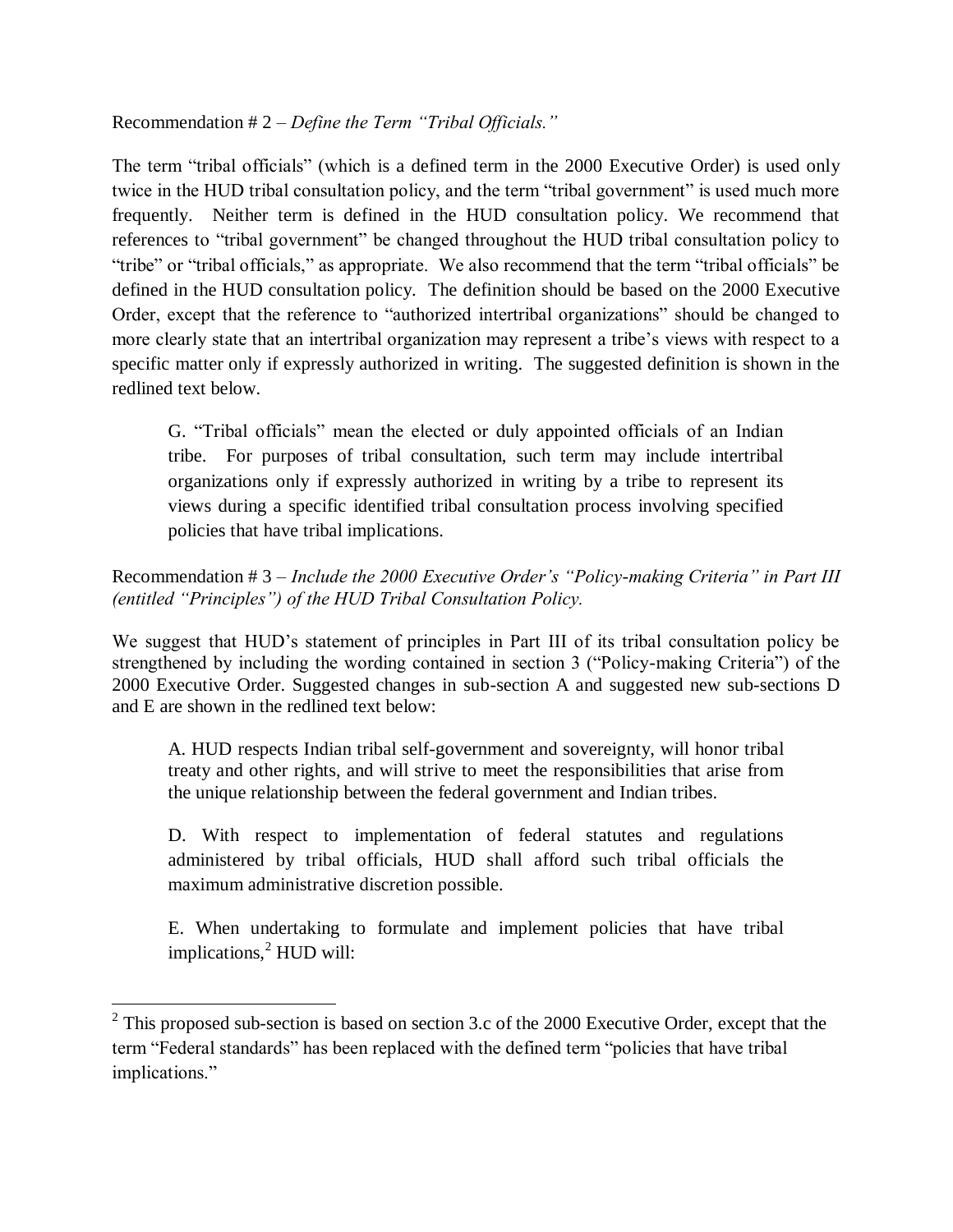#### Recommendation # 2 – *Define the Term "Tribal Officials."*

The term "tribal officials" (which is a defined term in the 2000 Executive Order) is used only twice in the HUD tribal consultation policy, and the term "tribal government" is used much more frequently. Neither term is defined in the HUD consultation policy. We recommend that references to "tribal government" be changed throughout the HUD tribal consultation policy to "tribe" or "tribal officials," as appropriate. We also recommend that the term "tribal officials" be defined in the HUD consultation policy. The definition should be based on the 2000 Executive Order, except that the reference to "authorized intertribal organizations" should be changed to more clearly state that an intertribal organization may represent a tribe's views with respect to a specific matter only if expressly authorized in writing. The suggested definition is shown in the redlined text below.

G. "Tribal officials" mean the elected or duly appointed officials of an Indian tribe. For purposes of tribal consultation, such term may include intertribal organizations only if expressly authorized in writing by a tribe to represent its views during a specific identified tribal consultation process involving specified policies that have tribal implications.

### Recommendation # 3 – *Include the 2000 Executive Order's "Policy-making Criteria" in Part III (entitled "Principles") of the HUD Tribal Consultation Policy.*

We suggest that HUD's statement of principles in Part III of its tribal consultation policy be strengthened by including the wording contained in section 3 ("Policy-making Criteria") of the 2000 Executive Order. Suggested changes in sub-section A and suggested new sub-sections D and E are shown in the redlined text below:

A. HUD respects Indian tribal self-government and sovereignty, will honor tribal treaty and other rights, and will strive to meet the responsibilities that arise from the unique relationship between the federal government and Indian tribes.

D. With respect to implementation of federal statutes and regulations administered by tribal officials, HUD shall afford such tribal officials the maximum administrative discretion possible.

E. When undertaking to formulate and implement policies that have tribal implications, $<sup>2</sup>$  HUD will:</sup>

<sup>&</sup>lt;sup>2</sup> This proposed sub-section is based on section 3.c of the 2000 Executive Order, except that the term "Federal standards" has been replaced with the defined term "policies that have tribal implications."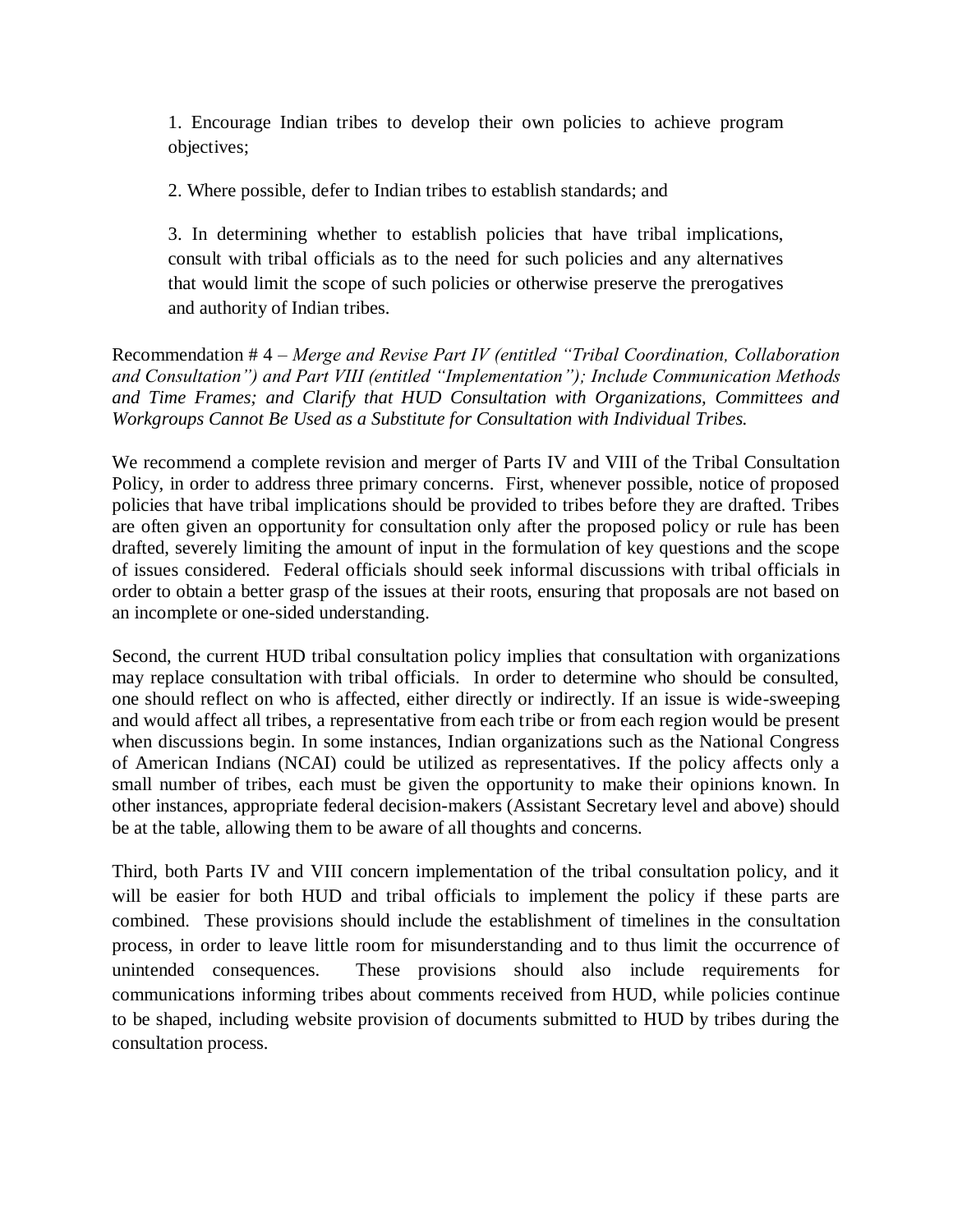1. Encourage Indian tribes to develop their own policies to achieve program objectives;

2. Where possible, defer to Indian tribes to establish standards; and

3. In determining whether to establish policies that have tribal implications, consult with tribal officials as to the need for such policies and any alternatives that would limit the scope of such policies or otherwise preserve the prerogatives and authority of Indian tribes.

Recommendation # 4 – *Merge and Revise Part IV (entitled "Tribal Coordination, Collaboration and Consultation") and Part VIII (entitled "Implementation"); Include Communication Methods and Time Frames; and Clarify that HUD Consultation with Organizations, Committees and Workgroups Cannot Be Used as a Substitute for Consultation with Individual Tribes.* 

We recommend a complete revision and merger of Parts IV and VIII of the Tribal Consultation Policy, in order to address three primary concerns. First, whenever possible, notice of proposed policies that have tribal implications should be provided to tribes before they are drafted. Tribes are often given an opportunity for consultation only after the proposed policy or rule has been drafted, severely limiting the amount of input in the formulation of key questions and the scope of issues considered. Federal officials should seek informal discussions with tribal officials in order to obtain a better grasp of the issues at their roots, ensuring that proposals are not based on an incomplete or one-sided understanding.

Second, the current HUD tribal consultation policy implies that consultation with organizations may replace consultation with tribal officials. In order to determine who should be consulted, one should reflect on who is affected, either directly or indirectly. If an issue is wide-sweeping and would affect all tribes, a representative from each tribe or from each region would be present when discussions begin. In some instances, Indian organizations such as the National Congress of American Indians (NCAI) could be utilized as representatives. If the policy affects only a small number of tribes, each must be given the opportunity to make their opinions known. In other instances, appropriate federal decision-makers (Assistant Secretary level and above) should be at the table, allowing them to be aware of all thoughts and concerns.

Third, both Parts IV and VIII concern implementation of the tribal consultation policy, and it will be easier for both HUD and tribal officials to implement the policy if these parts are combined. These provisions should include the establishment of timelines in the consultation process, in order to leave little room for misunderstanding and to thus limit the occurrence of unintended consequences. These provisions should also include requirements for communications informing tribes about comments received from HUD, while policies continue to be shaped, including website provision of documents submitted to HUD by tribes during the consultation process.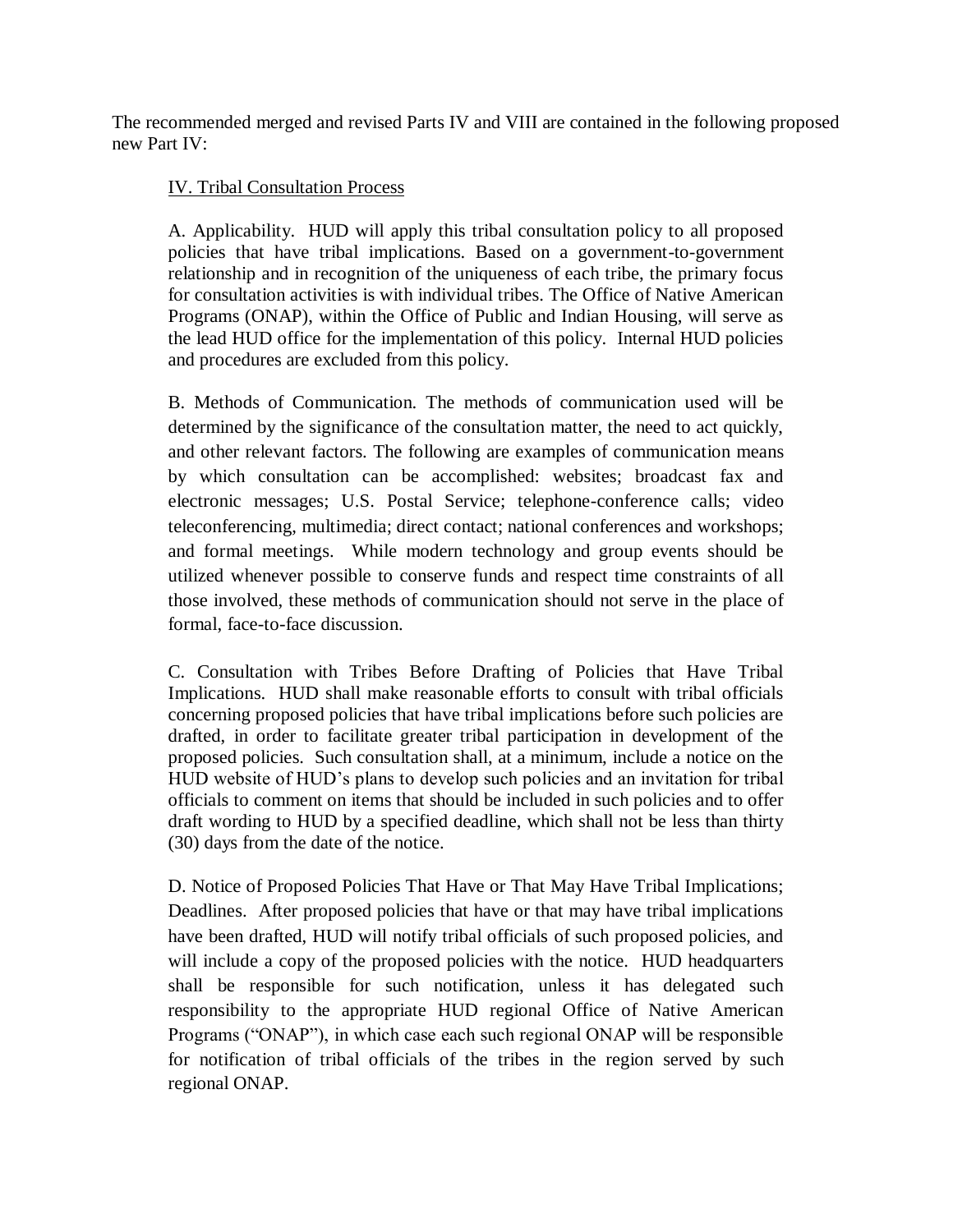The recommended merged and revised Parts IV and VIII are contained in the following proposed new Part IV:

### IV. Tribal Consultation Process

A. Applicability. HUD will apply this tribal consultation policy to all proposed policies that have tribal implications. Based on a government-to-government relationship and in recognition of the uniqueness of each tribe, the primary focus for consultation activities is with individual tribes. The Office of Native American Programs (ONAP), within the Office of Public and Indian Housing, will serve as the lead HUD office for the implementation of this policy. Internal HUD policies and procedures are excluded from this policy.

B. Methods of Communication. The methods of communication used will be determined by the significance of the consultation matter, the need to act quickly, and other relevant factors. The following are examples of communication means by which consultation can be accomplished: websites; broadcast fax and electronic messages; U.S. Postal Service; telephone-conference calls; video teleconferencing, multimedia; direct contact; national conferences and workshops; and formal meetings. While modern technology and group events should be utilized whenever possible to conserve funds and respect time constraints of all those involved, these methods of communication should not serve in the place of formal, face-to-face discussion.

C. Consultation with Tribes Before Drafting of Policies that Have Tribal Implications. HUD shall make reasonable efforts to consult with tribal officials concerning proposed policies that have tribal implications before such policies are drafted, in order to facilitate greater tribal participation in development of the proposed policies. Such consultation shall, at a minimum, include a notice on the HUD website of HUD's plans to develop such policies and an invitation for tribal officials to comment on items that should be included in such policies and to offer draft wording to HUD by a specified deadline, which shall not be less than thirty (30) days from the date of the notice.

D. Notice of Proposed Policies That Have or That May Have Tribal Implications; Deadlines. After proposed policies that have or that may have tribal implications have been drafted, HUD will notify tribal officials of such proposed policies, and will include a copy of the proposed policies with the notice. HUD headquarters shall be responsible for such notification, unless it has delegated such responsibility to the appropriate HUD regional Office of Native American Programs ("ONAP"), in which case each such regional ONAP will be responsible for notification of tribal officials of the tribes in the region served by such regional ONAP.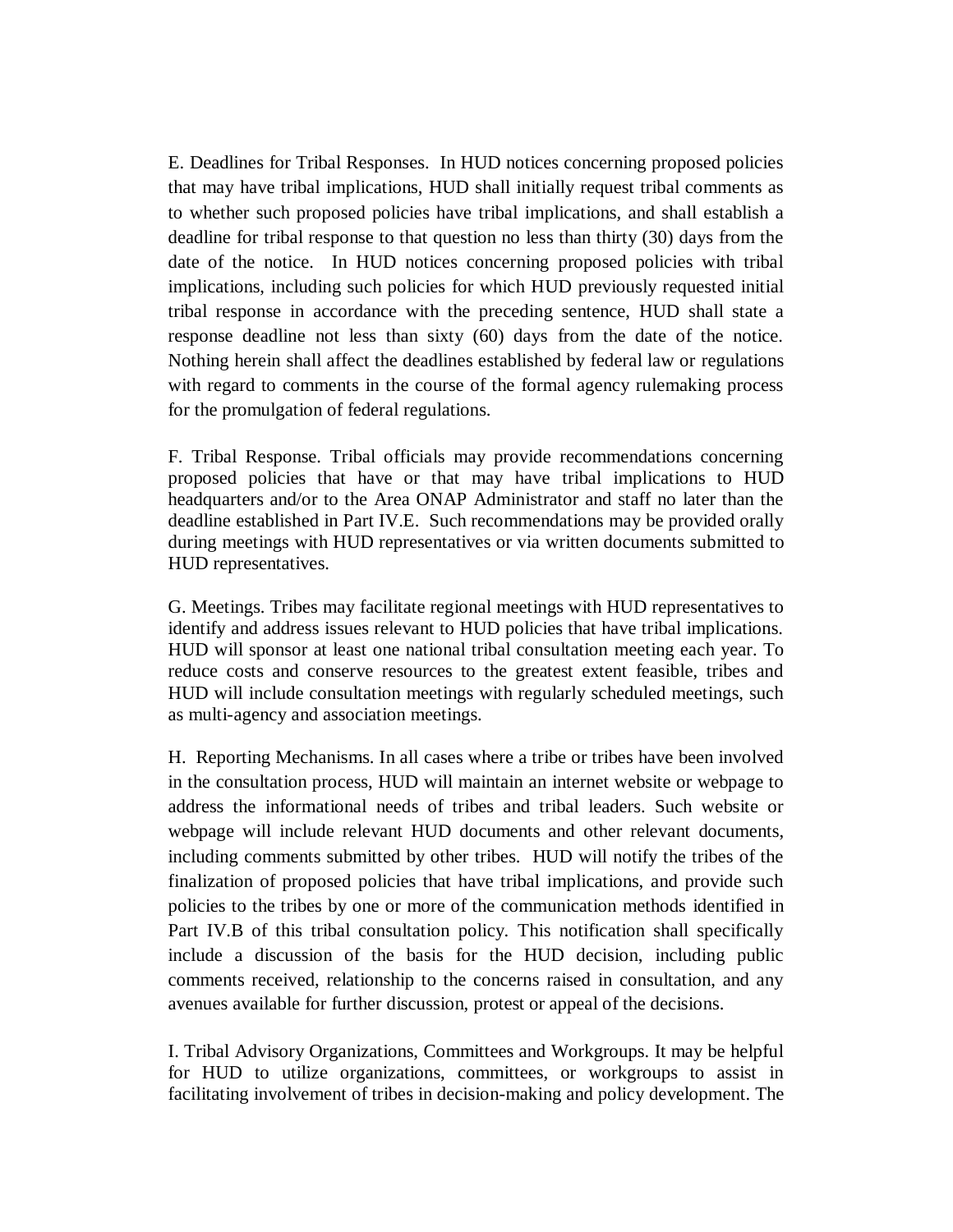E. Deadlines for Tribal Responses. In HUD notices concerning proposed policies that may have tribal implications, HUD shall initially request tribal comments as to whether such proposed policies have tribal implications, and shall establish a deadline for tribal response to that question no less than thirty (30) days from the date of the notice. In HUD notices concerning proposed policies with tribal implications, including such policies for which HUD previously requested initial tribal response in accordance with the preceding sentence, HUD shall state a response deadline not less than sixty (60) days from the date of the notice. Nothing herein shall affect the deadlines established by federal law or regulations with regard to comments in the course of the formal agency rulemaking process for the promulgation of federal regulations.

F. Tribal Response. Tribal officials may provide recommendations concerning proposed policies that have or that may have tribal implications to HUD headquarters and/or to the Area ONAP Administrator and staff no later than the deadline established in Part IV.E. Such recommendations may be provided orally during meetings with HUD representatives or via written documents submitted to HUD representatives.

G. Meetings. Tribes may facilitate regional meetings with HUD representatives to identify and address issues relevant to HUD policies that have tribal implications. HUD will sponsor at least one national tribal consultation meeting each year. To reduce costs and conserve resources to the greatest extent feasible, tribes and HUD will include consultation meetings with regularly scheduled meetings, such as multi-agency and association meetings.

H. Reporting Mechanisms. In all cases where a tribe or tribes have been involved in the consultation process, HUD will maintain an internet website or webpage to address the informational needs of tribes and tribal leaders. Such website or webpage will include relevant HUD documents and other relevant documents, including comments submitted by other tribes. HUD will notify the tribes of the finalization of proposed policies that have tribal implications, and provide such policies to the tribes by one or more of the communication methods identified in Part IV.B of this tribal consultation policy. This notification shall specifically include a discussion of the basis for the HUD decision, including public comments received, relationship to the concerns raised in consultation, and any avenues available for further discussion, protest or appeal of the decisions.

I. Tribal Advisory Organizations, Committees and Workgroups. It may be helpful for HUD to utilize organizations, committees, or workgroups to assist in facilitating involvement of tribes in decision-making and policy development. The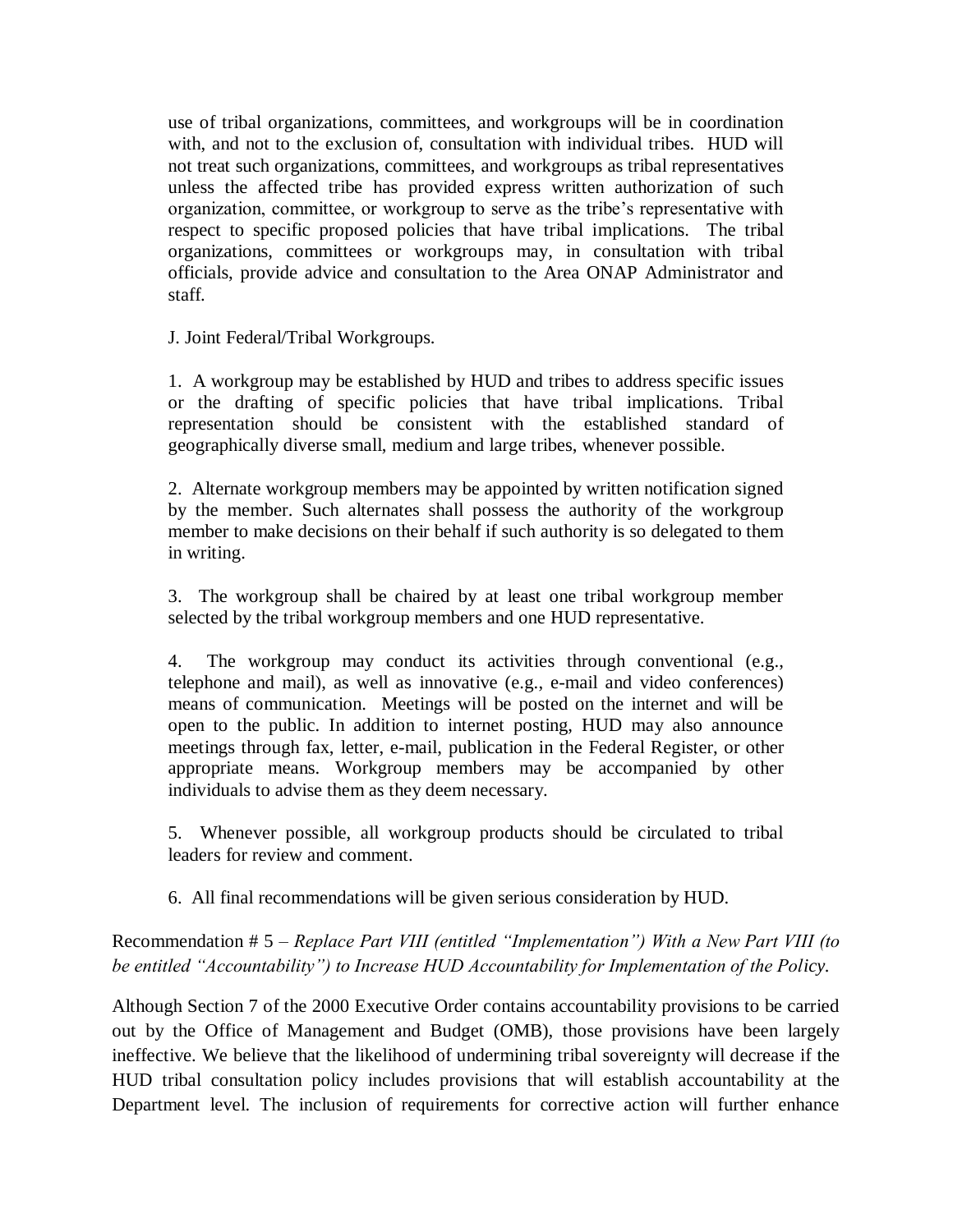use of tribal organizations, committees, and workgroups will be in coordination with, and not to the exclusion of, consultation with individual tribes. HUD will not treat such organizations, committees, and workgroups as tribal representatives unless the affected tribe has provided express written authorization of such organization, committee, or workgroup to serve as the tribe's representative with respect to specific proposed policies that have tribal implications. The tribal organizations, committees or workgroups may, in consultation with tribal officials, provide advice and consultation to the Area ONAP Administrator and staff.

J. Joint Federal/Tribal Workgroups.

1. A workgroup may be established by HUD and tribes to address specific issues or the drafting of specific policies that have tribal implications. Tribal representation should be consistent with the established standard of geographically diverse small, medium and large tribes, whenever possible.

2. Alternate workgroup members may be appointed by written notification signed by the member. Such alternates shall possess the authority of the workgroup member to make decisions on their behalf if such authority is so delegated to them in writing.

3. The workgroup shall be chaired by at least one tribal workgroup member selected by the tribal workgroup members and one HUD representative.

4. The workgroup may conduct its activities through conventional (e.g., telephone and mail), as well as innovative (e.g., e-mail and video conferences) means of communication. Meetings will be posted on the internet and will be open to the public. In addition to internet posting, HUD may also announce meetings through fax, letter, e-mail, publication in the Federal Register, or other appropriate means. Workgroup members may be accompanied by other individuals to advise them as they deem necessary.

5. Whenever possible, all workgroup products should be circulated to tribal leaders for review and comment.

6. All final recommendations will be given serious consideration by HUD.

# Recommendation # 5 – *Replace Part VIII (entitled "Implementation") With a New Part VIII (to be entitled "Accountability") to Increase HUD Accountability for Implementation of the Policy.*

Although Section 7 of the 2000 Executive Order contains accountability provisions to be carried out by the Office of Management and Budget (OMB), those provisions have been largely ineffective. We believe that the likelihood of undermining tribal sovereignty will decrease if the HUD tribal consultation policy includes provisions that will establish accountability at the Department level. The inclusion of requirements for corrective action will further enhance